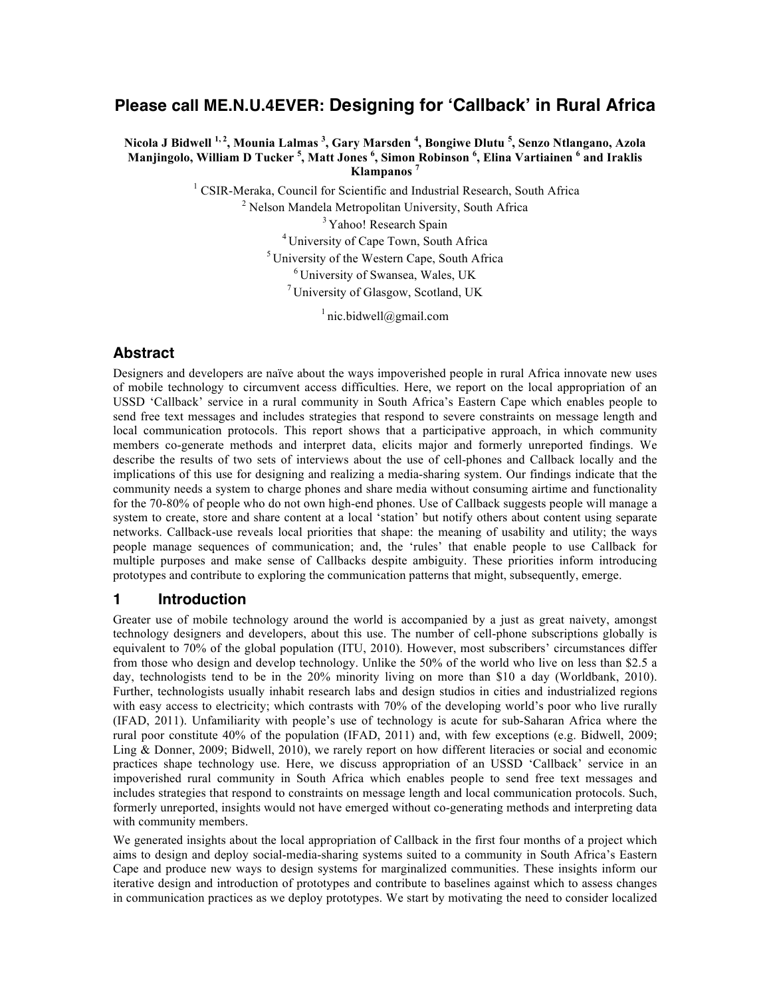# **Please call ME.N.U.4EVER: Designing for ʻCallback' in Rural Africa**

**Nicola J Bidwell 1, <sup>2</sup> , Mounia Lalmas <sup>3</sup> , Gary Marsden <sup>4</sup> , Bongiwe Dlutu <sup>5</sup> , Senzo Ntlangano, Azola Manjingolo, William D Tucker <sup>5</sup> , Matt Jones <sup>6</sup> , Simon Robinson <sup>6</sup> , Elina Vartiainen <sup>6</sup> and Iraklis Klampanos <sup>7</sup>**

<sup>1</sup> CSIR-Meraka, Council for Scientific and Industrial Research, South Africa

<sup>2</sup> Nelson Mandela Metropolitan University, South Africa

<sup>3</sup> Yahoo! Research Spain

<sup>4</sup> University of Cape Town, South Africa

 $<sup>5</sup>$  University of the Western Cape, South Africa</sup>

<sup>6</sup> University of Swansea, Wales, UK

<sup>7</sup> University of Glasgow, Scotland, UK

 $\frac{1}{2}$  nic.bidwell@gmail.com

## **Abstract**

Designers and developers are naïve about the ways impoverished people in rural Africa innovate new uses of mobile technology to circumvent access difficulties. Here, we report on the local appropriation of an USSD 'Callback' service in a rural community in South Africa's Eastern Cape which enables people to send free text messages and includes strategies that respond to severe constraints on message length and local communication protocols. This report shows that a participative approach, in which community members co-generate methods and interpret data, elicits major and formerly unreported findings. We describe the results of two sets of interviews about the use of cell-phones and Callback locally and the implications of this use for designing and realizing a media-sharing system. Our findings indicate that the community needs a system to charge phones and share media without consuming airtime and functionality for the 70-80% of people who do not own high-end phones. Use of Callback suggests people will manage a system to create, store and share content at a local 'station' but notify others about content using separate networks. Callback-use reveals local priorities that shape: the meaning of usability and utility; the ways people manage sequences of communication; and, the 'rules' that enable people to use Callback for multiple purposes and make sense of Callbacks despite ambiguity. These priorities inform introducing prototypes and contribute to exploring the communication patterns that might, subsequently, emerge.

### **1 Introduction**

Greater use of mobile technology around the world is accompanied by a just as great naivety, amongst technology designers and developers, about this use. The number of cell-phone subscriptions globally is equivalent to 70% of the global population (ITU, 2010). However, most subscribers' circumstances differ from those who design and develop technology. Unlike the 50% of the world who live on less than \$2.5 a day, technologists tend to be in the 20% minority living on more than \$10 a day (Worldbank, 2010). Further, technologists usually inhabit research labs and design studios in cities and industrialized regions with easy access to electricity; which contrasts with 70% of the developing world's poor who live rurally (IFAD, 2011). Unfamiliarity with people's use of technology is acute for sub-Saharan Africa where the rural poor constitute 40% of the population (IFAD, 2011) and, with few exceptions (e.g. Bidwell, 2009; Ling & Donner, 2009; Bidwell, 2010), we rarely report on how different literacies or social and economic practices shape technology use. Here, we discuss appropriation of an USSD 'Callback' service in an impoverished rural community in South Africa which enables people to send free text messages and includes strategies that respond to constraints on message length and local communication protocols. Such, formerly unreported, insights would not have emerged without co-generating methods and interpreting data with community members.

We generated insights about the local appropriation of Callback in the first four months of a project which aims to design and deploy social-media-sharing systems suited to a community in South Africa's Eastern Cape and produce new ways to design systems for marginalized communities. These insights inform our iterative design and introduction of prototypes and contribute to baselines against which to assess changes in communication practices as we deploy prototypes. We start by motivating the need to consider localized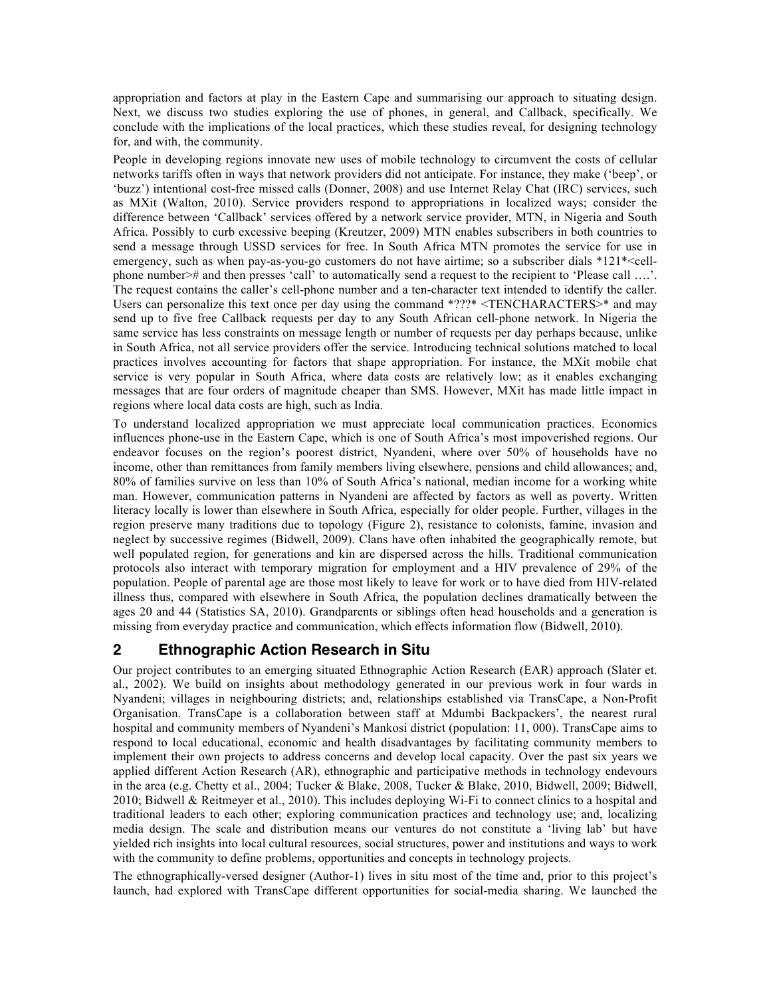appropriation and factors at play in the Eastern Cape and summarising our approach to situating design. Next, we discuss two studies exploring the use of phones, in general, and Callback, specifically. We conclude with the implications of the local practices, which these studies reveal, for designing technology for, and with, the community.

People in developing regions innovate new uses of mobile technology to circumvent the costs of cellular networks tariffs often in ways that network providers did not anticipate. For instance, they make ('beep', or 'buzz') intentional cost-free missed calls (Donner, 2008) and use Internet Relay Chat (IRC) services, such as MXit (Walton, 2010). Service providers respond to appropriations in localized ways; consider the difference between 'Callback' services offered by a network service provider, MTN, in Nigeria and South Africa. Possibly to curb excessive beeping (Kreutzer, 2009) MTN enables subscribers in both countries to send a message through USSD services for free. In South Africa MTN promotes the service for use in emergency, such as when pay-as-you-go customers do not have airtime; so a subscriber dials \*121\*<cellphone number># and then presses 'call' to automatically send a request to the recipient to 'Please call ….'. The request contains the caller's cell-phone number and a ten-character text intended to identify the caller. Users can personalize this text once per day using the command \*???\* <TENCHARACTERS>\* and may send up to five free Callback requests per day to any South African cell-phone network. In Nigeria the same service has less constraints on message length or number of requests per day perhaps because, unlike in South Africa, not all service providers offer the service. Introducing technical solutions matched to local practices involves accounting for factors that shape appropriation. For instance, the MXit mobile chat service is very popular in South Africa, where data costs are relatively low; as it enables exchanging messages that are four orders of magnitude cheaper than SMS. However, MXit has made little impact in regions where local data costs are high, such as India.

To understand localized appropriation we must appreciate local communication practices. Economics influences phone-use in the Eastern Cape, which is one of South Africa's most impoverished regions. Our endeavor focuses on the region's poorest district, Nyandeni, where over 50% of households have no income, other than remittances from family members living elsewhere, pensions and child allowances; and, 80% of families survive on less than 10% of South Africa's national, median income for a working white man. However, communication patterns in Nyandeni are affected by factors as well as poverty. Written literacy locally is lower than elsewhere in South Africa, especially for older people. Further, villages in the region preserve many traditions due to topology (Figure 2), resistance to colonists, famine, invasion and neglect by successive regimes (Bidwell, 2009). Clans have often inhabited the geographically remote, but well populated region, for generations and kin are dispersed across the hills. Traditional communication protocols also interact with temporary migration for employment and a HIV prevalence of 29% of the population. People of parental age are those most likely to leave for work or to have died from HIV-related illness thus, compared with elsewhere in South Africa, the population declines dramatically between the ages 20 and 44 (Statistics SA, 2010). Grandparents or siblings often head households and a generation is missing from everyday practice and communication, which effects information flow (Bidwell, 2010).

# **2 Ethnographic Action Research in Situ**

Our project contributes to an emerging situated Ethnographic Action Research (EAR) approach (Slater et. al., 2002). We build on insights about methodology generated in our previous work in four wards in Nyandeni; villages in neighbouring districts; and, relationships established via TransCape, a Non-Profit Organisation. TransCape is a collaboration between staff at Mdumbi Backpackers', the nearest rural hospital and community members of Nyandeni's Mankosi district (population: 11, 000). TransCape aims to respond to local educational, economic and health disadvantages by facilitating community members to implement their own projects to address concerns and develop local capacity. Over the past six years we applied different Action Research (AR), ethnographic and participative methods in technology endevours in the area (e.g. Chetty et al., 2004; Tucker & Blake, 2008, Tucker & Blake, 2010, Bidwell, 2009; Bidwell, 2010; Bidwell & Reitmeyer et al., 2010). This includes deploying Wi-Fi to connect clinics to a hospital and traditional leaders to each other; exploring communication practices and technology use; and, localizing media design. The scale and distribution means our ventures do not constitute a 'living lab' but have yielded rich insights into local cultural resources, social structures, power and institutions and ways to work with the community to define problems, opportunities and concepts in technology projects.

The ethnographically-versed designer (Author-1) lives in situ most of the time and, prior to this project's launch, had explored with TransCape different opportunities for social-media sharing. We launched the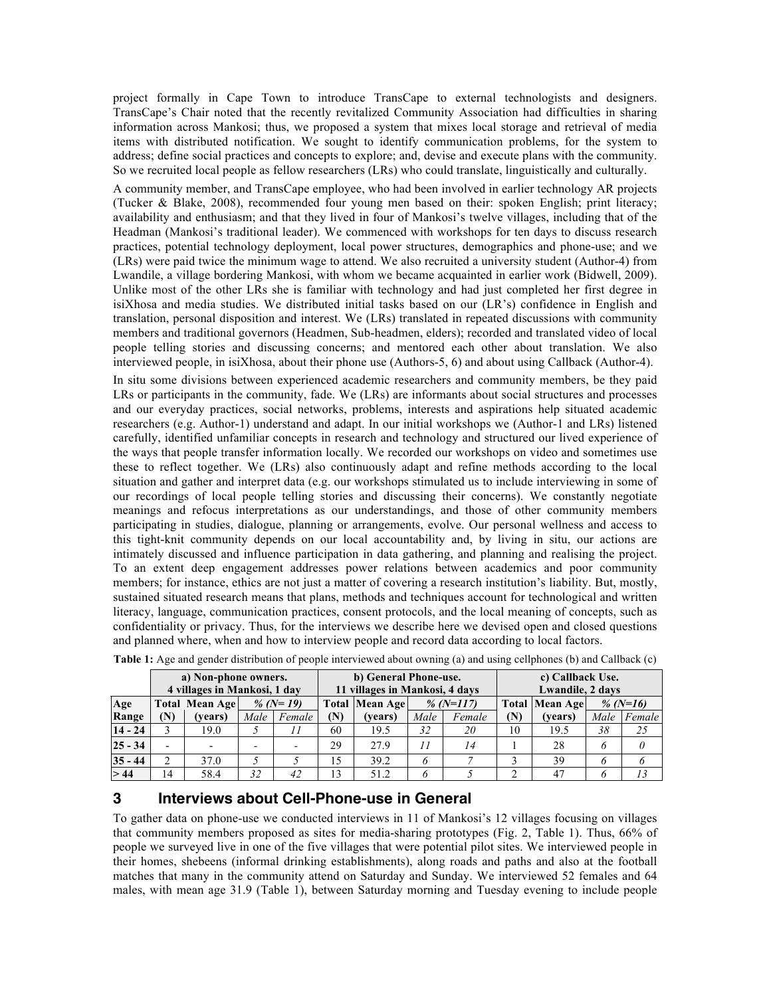project formally in Cape Town to introduce TransCape to external technologists and designers. TransCape's Chair noted that the recently revitalized Community Association had difficulties in sharing information across Mankosi; thus, we proposed a system that mixes local storage and retrieval of media items with distributed notification. We sought to identify communication problems, for the system to address; define social practices and concepts to explore; and, devise and execute plans with the community. So we recruited local people as fellow researchers (LRs) who could translate, linguistically and culturally.

A community member, and TransCape employee, who had been involved in earlier technology AR projects (Tucker & Blake, 2008), recommended four young men based on their: spoken English; print literacy; availability and enthusiasm; and that they lived in four of Mankosi's twelve villages, including that of the Headman (Mankosi's traditional leader). We commenced with workshops for ten days to discuss research practices, potential technology deployment, local power structures, demographics and phone-use; and we (LRs) were paid twice the minimum wage to attend. We also recruited a university student (Author-4) from Lwandile, a village bordering Mankosi, with whom we became acquainted in earlier work (Bidwell, 2009). Unlike most of the other LRs she is familiar with technology and had just completed her first degree in isiXhosa and media studies. We distributed initial tasks based on our (LR's) confidence in English and translation, personal disposition and interest. We (LRs) translated in repeated discussions with community members and traditional governors (Headmen, Sub-headmen, elders); recorded and translated video of local people telling stories and discussing concerns; and mentored each other about translation. We also interviewed people, in isiXhosa, about their phone use (Authors-5, 6) and about using Callback (Author-4).

In situ some divisions between experienced academic researchers and community members, be they paid LRs or participants in the community, fade. We (LRs) are informants about social structures and processes and our everyday practices, social networks, problems, interests and aspirations help situated academic researchers (e.g. Author-1) understand and adapt. In our initial workshops we (Author-1 and LRs) listened carefully, identified unfamiliar concepts in research and technology and structured our lived experience of the ways that people transfer information locally. We recorded our workshops on video and sometimes use these to reflect together. We (LRs) also continuously adapt and refine methods according to the local situation and gather and interpret data (e.g. our workshops stimulated us to include interviewing in some of our recordings of local people telling stories and discussing their concerns). We constantly negotiate meanings and refocus interpretations as our understandings, and those of other community members participating in studies, dialogue, planning or arrangements, evolve. Our personal wellness and access to this tight-knit community depends on our local accountability and, by living in situ, our actions are intimately discussed and influence participation in data gathering, and planning and realising the project. To an extent deep engagement addresses power relations between academics and poor community members; for instance, ethics are not just a matter of covering a research institution's liability. But, mostly, sustained situated research means that plans, methods and techniques account for technological and written literacy, language, communication practices, consent protocols, and the local meaning of concepts, such as confidentiality or privacy. Thus, for the interviews we describe here we devised open and closed questions and planned where, when and how to interview people and record data according to local factors.

|           | a) Non-phone owners.<br>4 villages in Mankosi, 1 day |                                       |      |        |                                    | b) General Phone-use.<br>11 villages in Mankosi, 4 days |                 |        | c) Callback Use.<br>Lwandile, 2 days |          |      |          |
|-----------|------------------------------------------------------|---------------------------------------|------|--------|------------------------------------|---------------------------------------------------------|-----------------|--------|--------------------------------------|----------|------|----------|
| Age       |                                                      | % ( $N=19$ )<br><b>Total Mean Age</b> |      |        | % (N=117)<br><b>Total Mean Age</b> |                                                         |                 |        | <b>Total Mean Age</b>                | % (N=16) |      |          |
| Range     | (N)                                                  | (vears)                               | Male | Female | (N)                                | (vears)                                                 | Male            | Female | (N)                                  | (vears)  | Male | Female   |
| $14 - 24$ |                                                      | 19.0                                  |      |        | 60                                 | 19.5                                                    | 32              | 20     | 10                                   | 19.5     | 38   | 25       |
| $25 - 34$ |                                                      |                                       |      | ۰      | 29                                 | 279                                                     | $\overline{11}$ | 14     |                                      | 28       | 6    | $\theta$ |
| $35 - 44$ |                                                      | 37.0                                  |      |        | 15                                 | 39.2                                                    | 6               |        |                                      | 39       | 6    | 6        |
| > 44      | 14                                                   | 58.4                                  | 32   | 42     | 13                                 | 51.2                                                    | 6               |        |                                      | 47       | 6    | 13       |

**Table 1:** Age and gender distribution of people interviewed about owning (a) and using cellphones (b) and Callback (c)

### **3 Interviews about Cell-Phone-use in General**

To gather data on phone-use we conducted interviews in 11 of Mankosi's 12 villages focusing on villages that community members proposed as sites for media-sharing prototypes (Fig. 2, Table 1). Thus, 66% of people we surveyed live in one of the five villages that were potential pilot sites. We interviewed people in their homes, shebeens (informal drinking establishments), along roads and paths and also at the football matches that many in the community attend on Saturday and Sunday. We interviewed 52 females and 64 males, with mean age 31.9 (Table 1), between Saturday morning and Tuesday evening to include people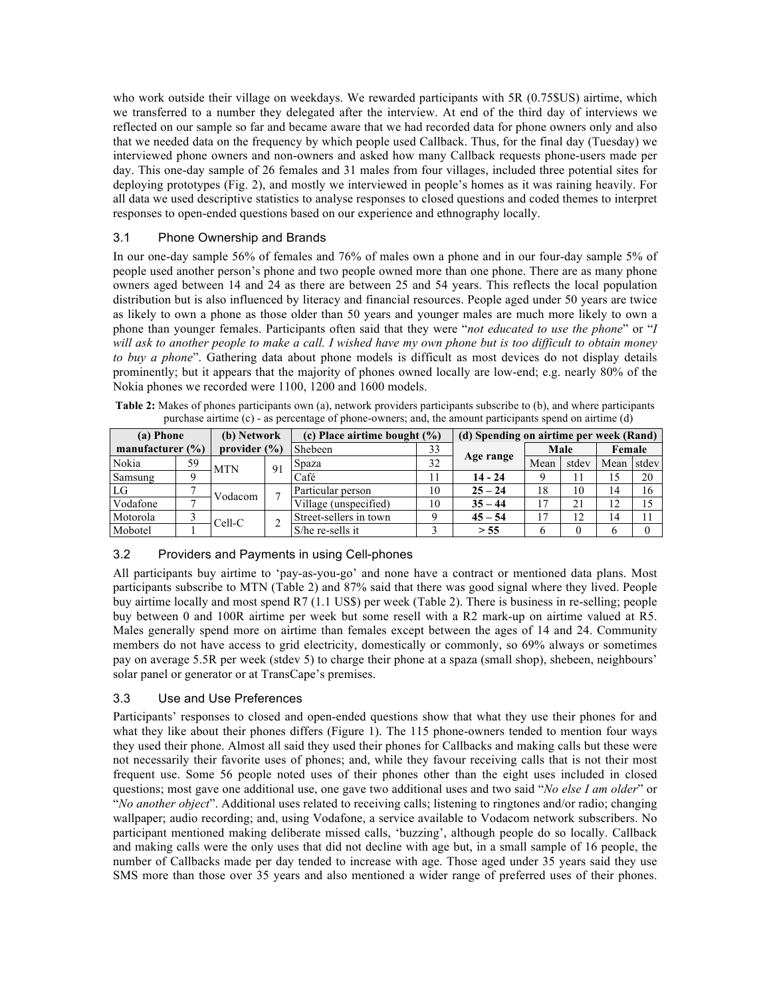who work outside their village on weekdays. We rewarded participants with 5R (0.75\$US) airtime, which we transferred to a number they delegated after the interview. At end of the third day of interviews we reflected on our sample so far and became aware that we had recorded data for phone owners only and also that we needed data on the frequency by which people used Callback. Thus, for the final day (Tuesday) we interviewed phone owners and non-owners and asked how many Callback requests phone-users made per day. This one-day sample of 26 females and 31 males from four villages, included three potential sites for deploying prototypes (Fig. 2), and mostly we interviewed in people's homes as it was raining heavily. For all data we used descriptive statistics to analyse responses to closed questions and coded themes to interpret responses to open-ended questions based on our experience and ethnography locally.

### 3.1 Phone Ownership and Brands

In our one-day sample 56% of females and 76% of males own a phone and in our four-day sample 5% of people used another person's phone and two people owned more than one phone. There are as many phone owners aged between 14 and 24 as there are between 25 and 54 years. This reflects the local population distribution but is also influenced by literacy and financial resources. People aged under 50 years are twice as likely to own a phone as those older than 50 years and younger males are much more likely to own a phone than younger females. Participants often said that they were "*not educated to use the phone*" or "*I will ask to another people to make a call. I wished have my own phone but is too difficult to obtain money to buy a phone*". Gathering data about phone models is difficult as most devices do not display details prominently; but it appears that the majority of phones owned locally are low-end; e.g. nearly 80% of the Nokia phones we recorded were 1100, 1200 and 1600 models.

**Table 2:** Makes of phones participants own (a), network providers participants subscribe to (b), and where participants purchase airtime (c) - as percentage of phone-owners; and, the amount participants spend on airtime (d)

| (a) Phone            |                  | (b) Network |         | (c) Place airtime bought $(\%)$ | (d) Spending on airtime per week (Rand) |           |      |        |      |       |
|----------------------|------------------|-------------|---------|---------------------------------|-----------------------------------------|-----------|------|--------|------|-------|
| manufacturer $(\% )$ | provider $(\% )$ |             | Shebeen | 33                              |                                         | Male      |      | Female |      |       |
| Nokia                | 59               | <b>MTN</b>  | 91      | Spaza                           | 32                                      | Age range | Mean | stdev  | Mean | stdev |
| Samsung              |                  |             |         | Café                            |                                         | $14 - 24$ |      |        | 15   | 20    |
| LG                   | $\mathbf{r}$     | Vodacom     |         | Particular person               | 10                                      | $25 - 24$ | 18   | 10     | 14   | 16    |
| Vodafone             | $\overline{ }$   |             |         | Village (unspecified)           | 10                                      | $35 - 44$ | 17   | 21     | 12   | 15    |
| Motorola             |                  | Cell-C      |         | Street-sellers in town          |                                         | $45 - 54$ | 17   | 12     | 14   |       |
| Mobotel              |                  |             |         | S/he re-sells it                |                                         | > 55      |      |        | 6    |       |

### 3.2 Providers and Payments in using Cell-phones

All participants buy airtime to 'pay-as-you-go' and none have a contract or mentioned data plans. Most participants subscribe to MTN (Table 2) and 87% said that there was good signal where they lived. People buy airtime locally and most spend R7 (1.1 US\$) per week (Table 2). There is business in re-selling; people buy between 0 and 100R airtime per week but some resell with a R2 mark-up on airtime valued at R5. Males generally spend more on airtime than females except between the ages of 14 and 24. Community members do not have access to grid electricity, domestically or commonly, so 69% always or sometimes pay on average 5.5R per week (stdev 5) to charge their phone at a spaza (small shop), shebeen, neighbours' solar panel or generator or at TransCape's premises.

### 3.3 Use and Use Preferences

Participants' responses to closed and open-ended questions show that what they use their phones for and what they like about their phones differs (Figure 1). The 115 phone-owners tended to mention four ways they used their phone. Almost all said they used their phones for Callbacks and making calls but these were not necessarily their favorite uses of phones; and, while they favour receiving calls that is not their most frequent use. Some 56 people noted uses of their phones other than the eight uses included in closed questions; most gave one additional use, one gave two additional uses and two said "*No else I am older*" or "*No another object*". Additional uses related to receiving calls; listening to ringtones and/or radio; changing wallpaper; audio recording; and, using Vodafone, a service available to Vodacom network subscribers. No participant mentioned making deliberate missed calls, 'buzzing', although people do so locally. Callback and making calls were the only uses that did not decline with age but, in a small sample of 16 people, the number of Callbacks made per day tended to increase with age. Those aged under 35 years said they use SMS more than those over 35 years and also mentioned a wider range of preferred uses of their phones.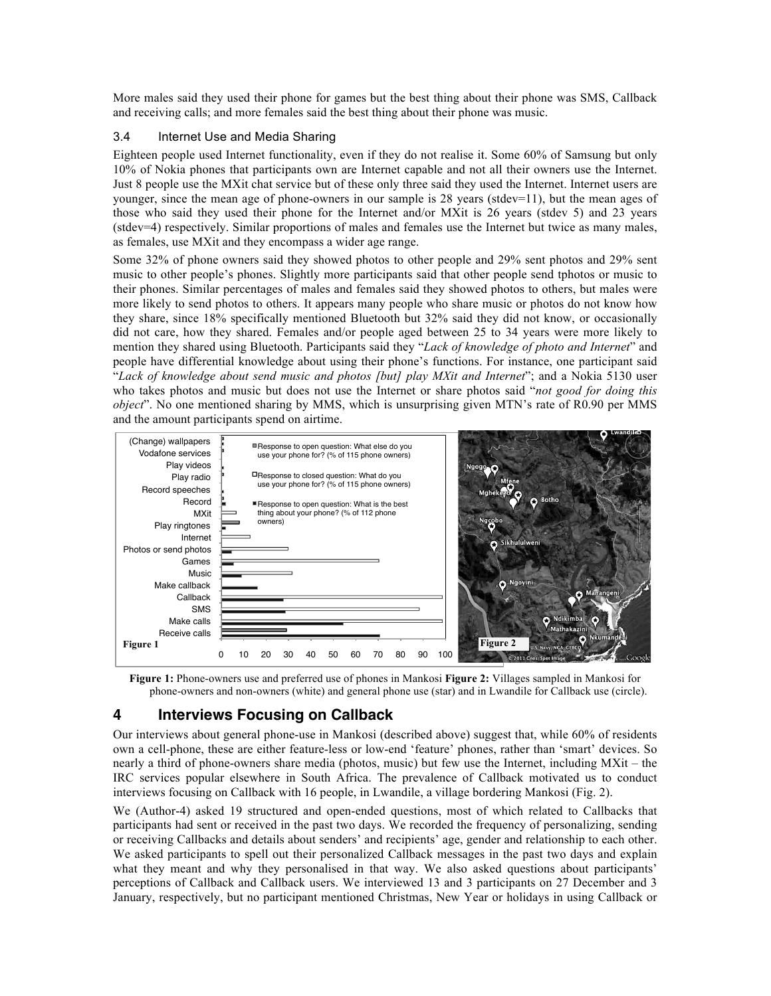More males said they used their phone for games but the best thing about their phone was SMS, Callback and receiving calls; and more females said the best thing about their phone was music.

### 3.4 Internet Use and Media Sharing

Eighteen people used Internet functionality, even if they do not realise it. Some 60% of Samsung but only 10% of Nokia phones that participants own are Internet capable and not all their owners use the Internet. Just 8 people use the MXit chat service but of these only three said they used the Internet. Internet users are younger, since the mean age of phone-owners in our sample is 28 years (stdev=11), but the mean ages of those who said they used their phone for the Internet and/or MXit is 26 years (stdev 5) and 23 years (stdev=4) respectively. Similar proportions of males and females use the Internet but twice as many males, as females, use MXit and they encompass a wider age range.

Some 32% of phone owners said they showed photos to other people and 29% sent photos and 29% sent music to other people's phones. Slightly more participants said that other people send tphotos or music to their phones. Similar percentages of males and females said they showed photos to others, but males were more likely to send photos to others. It appears many people who share music or photos do not know how they share, since 18% specifically mentioned Bluetooth but 32% said they did not know, or occasionally did not care, how they shared. Females and/or people aged between 25 to 34 years were more likely to mention they shared using Bluetooth. Participants said they "*Lack of knowledge of photo and Internet*" and people have differential knowledge about using their phone's functions. For instance, one participant said "*Lack of knowledge about send music and photos [but] play MXit and Internet*"; and a Nokia 5130 user who takes photos and music but does not use the Internet or share photos said "*not good for doing this object*". No one mentioned sharing by MMS, which is unsurprising given MTN's rate of R0.90 per MMS and the amount participants spend on airtime.



**Figure 1:** Phone-owners use and preferred use of phones in Mankosi **Figure 2:** Villages sampled in Mankosi for phone-owners and non-owners (white) and general phone use (star) and in Lwandile for Callback use (circle).

# **4 Interviews Focusing on Callback**

Our interviews about general phone-use in Mankosi (described above) suggest that, while 60% of residents own a cell-phone, these are either feature-less or low-end 'feature' phones, rather than 'smart' devices. So nearly a third of phone-owners share media (photos, music) but few use the Internet, including MXit – the IRC services popular elsewhere in South Africa. The prevalence of Callback motivated us to conduct interviews focusing on Callback with 16 people, in Lwandile, a village bordering Mankosi (Fig. 2).

We (Author-4) asked 19 structured and open-ended questions, most of which related to Callbacks that participants had sent or received in the past two days. We recorded the frequency of personalizing, sending or receiving Callbacks and details about senders' and recipients' age, gender and relationship to each other. We asked participants to spell out their personalized Callback messages in the past two days and explain what they meant and why they personalised in that way. We also asked questions about participants' perceptions of Callback and Callback users. We interviewed 13 and 3 participants on 27 December and 3 January, respectively, but no participant mentioned Christmas, New Year or holidays in using Callback or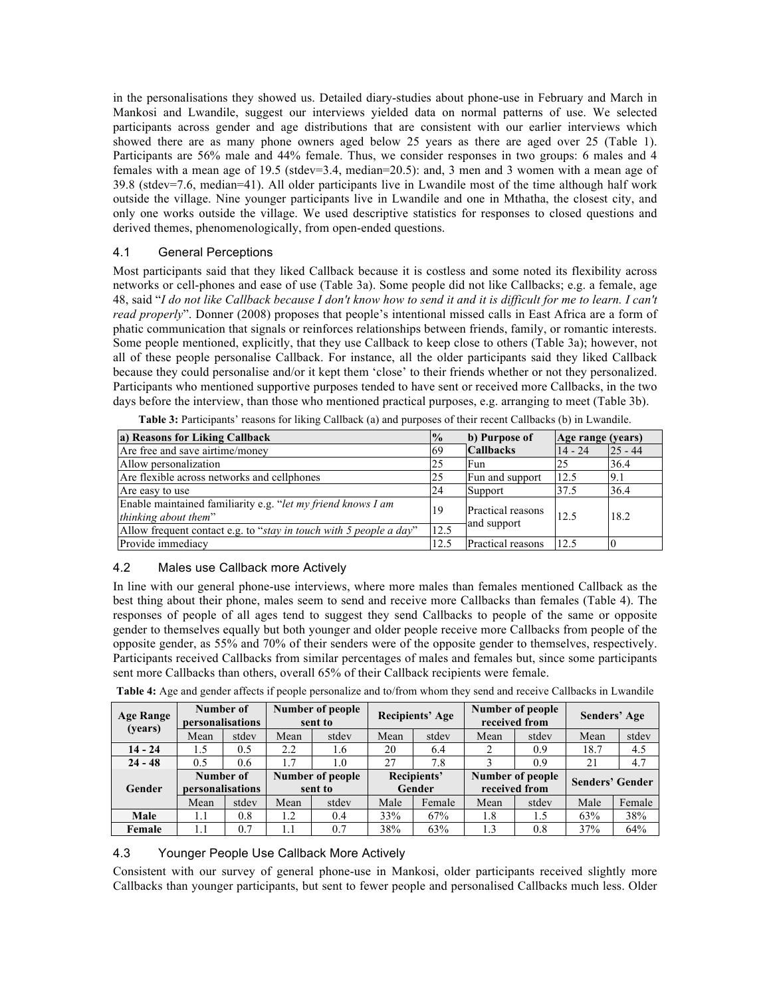in the personalisations they showed us. Detailed diary-studies about phone-use in February and March in Mankosi and Lwandile, suggest our interviews yielded data on normal patterns of use. We selected participants across gender and age distributions that are consistent with our earlier interviews which showed there are as many phone owners aged below 25 years as there are aged over 25 (Table 1). Participants are 56% male and 44% female. Thus, we consider responses in two groups: 6 males and 4 females with a mean age of 19.5 (stdev=3.4, median= $20.5$ ): and, 3 men and 3 women with a mean age of 39.8 (stdev=7.6, median=41). All older participants live in Lwandile most of the time although half work outside the village. Nine younger participants live in Lwandile and one in Mthatha, the closest city, and only one works outside the village. We used descriptive statistics for responses to closed questions and derived themes, phenomenologically, from open-ended questions.

### 4.1 General Perceptions

Most participants said that they liked Callback because it is costless and some noted its flexibility across networks or cell-phones and ease of use (Table 3a). Some people did not like Callbacks; e.g. a female, age 48, said "*I do not like Callback because I don't know how to send it and it is difficult for me to learn. I can't read properly*". Donner (2008) proposes that people's intentional missed calls in East Africa are a form of phatic communication that signals or reinforces relationships between friends, family, or romantic interests. Some people mentioned, explicitly, that they use Callback to keep close to others (Table 3a); however, not all of these people personalise Callback. For instance, all the older participants said they liked Callback because they could personalise and/or it kept them 'close' to their friends whether or not they personalized. Participants who mentioned supportive purposes tended to have sent or received more Callbacks, in the two days before the interview, than those who mentioned practical purposes, e.g. arranging to meet (Table 3b).

| a) Reasons for Liking Callback                                                       | $\frac{10}{6}$ | b) Purpose of                    | Age range (years) |           |
|--------------------------------------------------------------------------------------|----------------|----------------------------------|-------------------|-----------|
| Are free and save airtime/money                                                      | -69            | <b>Callbacks</b>                 | $14 - 24$         | $25 - 44$ |
| Allow personalization                                                                | 25             | Fun                              | 25                | 36.4      |
| Are flexible across networks and cellphones                                          | 25             | Fun and support                  | 12.5              | 9.1       |
| Are easy to use                                                                      | 24             | Support                          | 37.5              | 36.4      |
| Enable maintained familiarity e.g. "let my friend knows I am<br>thinking about them" | 19             | Practical reasons<br>and support | 12.5              | 18.2      |
| Allow frequent contact e.g. to "stay in touch with 5 people a day"                   | 12.5           |                                  |                   |           |
| Provide immediacy                                                                    | 12.5           | Practical reasons                | 12.5              |           |

**Table 3:** Participants' reasons for liking Callback (a) and purposes of their recent Callbacks (b) in Lwandile.

### 4.2 Males use Callback more Actively

In line with our general phone-use interviews, where more males than females mentioned Callback as the best thing about their phone, males seem to send and receive more Callbacks than females (Table 4). The responses of people of all ages tend to suggest they send Callbacks to people of the same or opposite gender to themselves equally but both younger and older people receive more Callbacks from people of the opposite gender, as 55% and 70% of their senders were of the opposite gender to themselves, respectively. Participants received Callbacks from similar percentages of males and females but, since some participants sent more Callbacks than others, overall 65% of their Callback recipients were female.

| <b>Age Range</b><br>(years) | Number of<br>personalisations |       | Number of people<br>sent to |       | <b>Recipients' Age</b> |        | received from    | Number of people | Senders' Age           |        |
|-----------------------------|-------------------------------|-------|-----------------------------|-------|------------------------|--------|------------------|------------------|------------------------|--------|
|                             | Mean                          | stdev | Mean                        | stdev | Mean                   | stdev  | Mean             | stdev            | Mean                   | stdev  |
| $14 - 24$                   | 1.5                           | 0.5   | 2.2                         | 1.6   | 20                     | 6.4    |                  | 0.9              | 18.7                   | 4.5    |
| $24 - 48$                   | 0.5                           | 0.6   | 1.7                         | 1.0   | 27                     | 7.8    |                  | 0.9              | 21                     | 4.7    |
| Gender                      | Number of                     |       | Number of people            |       | Recipients'            |        | Number of people |                  | <b>Senders' Gender</b> |        |
|                             | personalisations              |       | sent to                     |       | Gender                 |        | received from    |                  |                        |        |
|                             | Mean                          | stdev | Mean                        | stdev | Male                   | Female | Mean             | stdev            | Male                   | Female |
| Male                        | 1.1                           | 0.8   | 1.2                         | 0.4   | 33%                    | 67%    | 1.8              | 1.5              | 63%                    | 38%    |
| Female                      | 1.1                           | 0.7   | 1.1                         | 0.7   | 38%                    | 63%    | 1.3              | 0.8              | 37%                    | 64%    |

**Table 4:** Age and gender affects if people personalize and to/from whom they send and receive Callbacks in Lwandile

#### 4.3 Younger People Use Callback More Actively

Consistent with our survey of general phone-use in Mankosi, older participants received slightly more Callbacks than younger participants, but sent to fewer people and personalised Callbacks much less. Older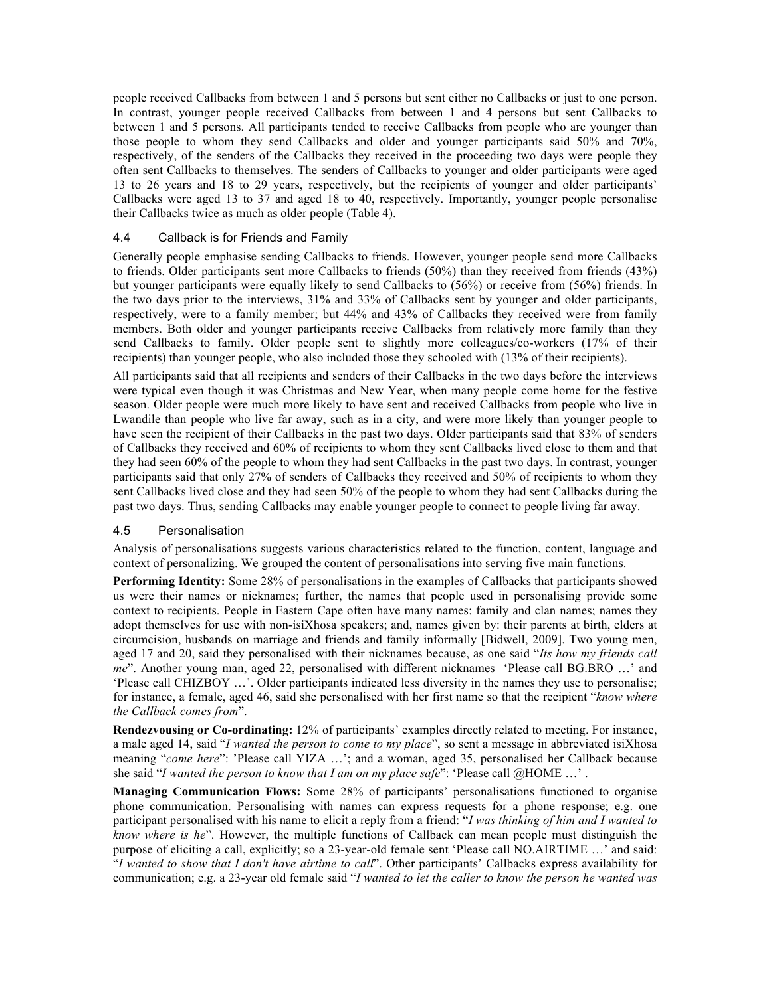people received Callbacks from between 1 and 5 persons but sent either no Callbacks or just to one person. In contrast, younger people received Callbacks from between 1 and 4 persons but sent Callbacks to between 1 and 5 persons. All participants tended to receive Callbacks from people who are younger than those people to whom they send Callbacks and older and younger participants said 50% and 70%, respectively, of the senders of the Callbacks they received in the proceeding two days were people they often sent Callbacks to themselves. The senders of Callbacks to younger and older participants were aged 13 to 26 years and 18 to 29 years, respectively, but the recipients of younger and older participants' Callbacks were aged 13 to 37 and aged 18 to 40, respectively. Importantly, younger people personalise their Callbacks twice as much as older people (Table 4).

#### 4.4 Callback is for Friends and Family

Generally people emphasise sending Callbacks to friends. However, younger people send more Callbacks to friends. Older participants sent more Callbacks to friends (50%) than they received from friends (43%) but younger participants were equally likely to send Callbacks to (56%) or receive from (56%) friends. In the two days prior to the interviews, 31% and 33% of Callbacks sent by younger and older participants, respectively, were to a family member; but 44% and 43% of Callbacks they received were from family members. Both older and younger participants receive Callbacks from relatively more family than they send Callbacks to family. Older people sent to slightly more colleagues/co-workers (17% of their recipients) than younger people, who also included those they schooled with (13% of their recipients).

All participants said that all recipients and senders of their Callbacks in the two days before the interviews were typical even though it was Christmas and New Year, when many people come home for the festive season. Older people were much more likely to have sent and received Callbacks from people who live in Lwandile than people who live far away, such as in a city, and were more likely than younger people to have seen the recipient of their Callbacks in the past two days. Older participants said that 83% of senders of Callbacks they received and 60% of recipients to whom they sent Callbacks lived close to them and that they had seen 60% of the people to whom they had sent Callbacks in the past two days. In contrast, younger participants said that only 27% of senders of Callbacks they received and 50% of recipients to whom they sent Callbacks lived close and they had seen 50% of the people to whom they had sent Callbacks during the past two days. Thus, sending Callbacks may enable younger people to connect to people living far away.

#### 4.5 Personalisation

Analysis of personalisations suggests various characteristics related to the function, content, language and context of personalizing. We grouped the content of personalisations into serving five main functions.

**Performing Identity:** Some 28% of personalisations in the examples of Callbacks that participants showed us were their names or nicknames; further, the names that people used in personalising provide some context to recipients. People in Eastern Cape often have many names: family and clan names; names they adopt themselves for use with non-isiXhosa speakers; and, names given by: their parents at birth, elders at circumcision, husbands on marriage and friends and family informally [Bidwell, 2009]. Two young men, aged 17 and 20, said they personalised with their nicknames because, as one said "*Its how my friends call me*". Another young man, aged 22, personalised with different nicknames 'Please call BG.BRO …' and 'Please call CHIZBOY …'. Older participants indicated less diversity in the names they use to personalise; for instance, a female, aged 46, said she personalised with her first name so that the recipient "*know where the Callback comes from*".

**Rendezvousing or Co-ordinating:** 12% of participants' examples directly related to meeting. For instance, a male aged 14, said "*I wanted the person to come to my place*", so sent a message in abbreviated isiXhosa meaning "*come here*": 'Please call YIZA …'; and a woman, aged 35, personalised her Callback because she said "*I wanted the person to know that I am on my place safe*": 'Please call @HOME ...'.

**Managing Communication Flows:** Some 28% of participants' personalisations functioned to organise phone communication. Personalising with names can express requests for a phone response; e.g. one participant personalised with his name to elicit a reply from a friend: "*I was thinking of him and I wanted to know where is he*". However, the multiple functions of Callback can mean people must distinguish the purpose of eliciting a call, explicitly; so a 23-year-old female sent 'Please call NO.AIRTIME …' and said: "*I wanted to show that I don't have airtime to call*". Other participants' Callbacks express availability for communication; e.g. a 23-year old female said "*I wanted to let the caller to know the person he wanted was*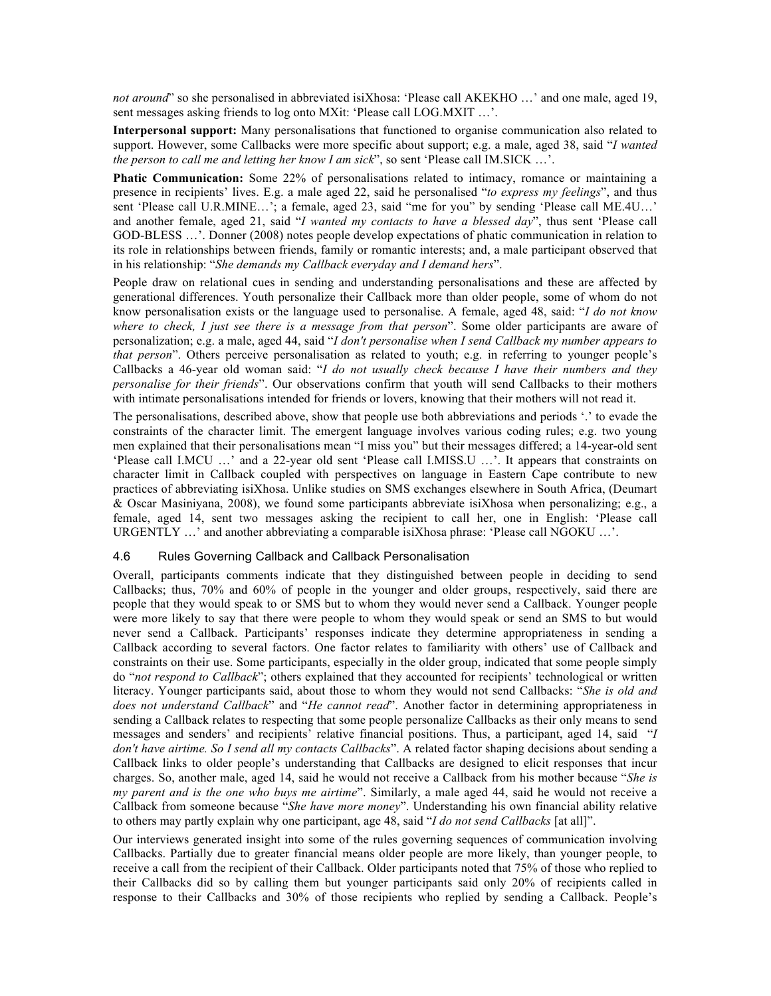*not around*" so she personalised in abbreviated isiXhosa: 'Please call AKEKHO …' and one male, aged 19, sent messages asking friends to log onto MXit: 'Please call LOG.MXIT …'.

**Interpersonal support:** Many personalisations that functioned to organise communication also related to support. However, some Callbacks were more specific about support; e.g. a male, aged 38, said "*I wanted the person to call me and letting her know I am sick*", so sent 'Please call IM.SICK …'.

**Phatic Communication:** Some 22% of personalisations related to intimacy, romance or maintaining a presence in recipients' lives. E.g. a male aged 22, said he personalised "*to express my feelings*", and thus sent 'Please call U.R.MINE…'; a female, aged 23, said "me for you" by sending 'Please call ME.4U…' and another female, aged 21, said "*I wanted my contacts to have a blessed day*", thus sent 'Please call GOD-BLESS …'. Donner (2008) notes people develop expectations of phatic communication in relation to its role in relationships between friends, family or romantic interests; and, a male participant observed that in his relationship: "*She demands my Callback everyday and I demand hers*".

People draw on relational cues in sending and understanding personalisations and these are affected by generational differences. Youth personalize their Callback more than older people, some of whom do not know personalisation exists or the language used to personalise. A female, aged 48, said: "*I do not know where to check, I just see there is a message from that person*". Some older participants are aware of personalization; e.g. a male, aged 44, said "*I don't personalise when I send Callback my number appears to that person*". Others perceive personalisation as related to youth; e.g. in referring to younger people's Callbacks a 46-year old woman said: "*I do not usually check because I have their numbers and they personalise for their friends*". Our observations confirm that youth will send Callbacks to their mothers with intimate personalisations intended for friends or lovers, knowing that their mothers will not read it.

The personalisations, described above, show that people use both abbreviations and periods '.' to evade the constraints of the character limit. The emergent language involves various coding rules; e.g. two young men explained that their personalisations mean "I miss you" but their messages differed; a 14-year-old sent 'Please call I.MCU …' and a 22-year old sent 'Please call I.MISS.U …'. It appears that constraints on character limit in Callback coupled with perspectives on language in Eastern Cape contribute to new practices of abbreviating isiXhosa. Unlike studies on SMS exchanges elsewhere in South Africa, (Deumart & Oscar Masiniyana, 2008), we found some participants abbreviate isiXhosa when personalizing; e.g., a female, aged 14, sent two messages asking the recipient to call her, one in English: 'Please call URGENTLY …' and another abbreviating a comparable isiXhosa phrase: 'Please call NGOKU …'.

#### 4.6 Rules Governing Callback and Callback Personalisation

Overall, participants comments indicate that they distinguished between people in deciding to send Callbacks; thus, 70% and 60% of people in the younger and older groups, respectively, said there are people that they would speak to or SMS but to whom they would never send a Callback. Younger people were more likely to say that there were people to whom they would speak or send an SMS to but would never send a Callback. Participants' responses indicate they determine appropriateness in sending a Callback according to several factors. One factor relates to familiarity with others' use of Callback and constraints on their use. Some participants, especially in the older group, indicated that some people simply do "*not respond to Callback*"; others explained that they accounted for recipients' technological or written literacy. Younger participants said, about those to whom they would not send Callbacks: "*She is old and does not understand Callback*" and "*He cannot read*". Another factor in determining appropriateness in sending a Callback relates to respecting that some people personalize Callbacks as their only means to send messages and senders' and recipients' relative financial positions. Thus, a participant, aged 14, said "*I don't have airtime. So I send all my contacts Callbacks*". A related factor shaping decisions about sending a Callback links to older people's understanding that Callbacks are designed to elicit responses that incur charges. So, another male, aged 14, said he would not receive a Callback from his mother because "*She is my parent and is the one who buys me airtime*". Similarly, a male aged 44, said he would not receive a Callback from someone because "*She have more money*". Understanding his own financial ability relative to others may partly explain why one participant, age 48, said "*I do not send Callbacks* [at all]".

Our interviews generated insight into some of the rules governing sequences of communication involving Callbacks. Partially due to greater financial means older people are more likely, than younger people, to receive a call from the recipient of their Callback. Older participants noted that 75% of those who replied to their Callbacks did so by calling them but younger participants said only 20% of recipients called in response to their Callbacks and 30% of those recipients who replied by sending a Callback. People's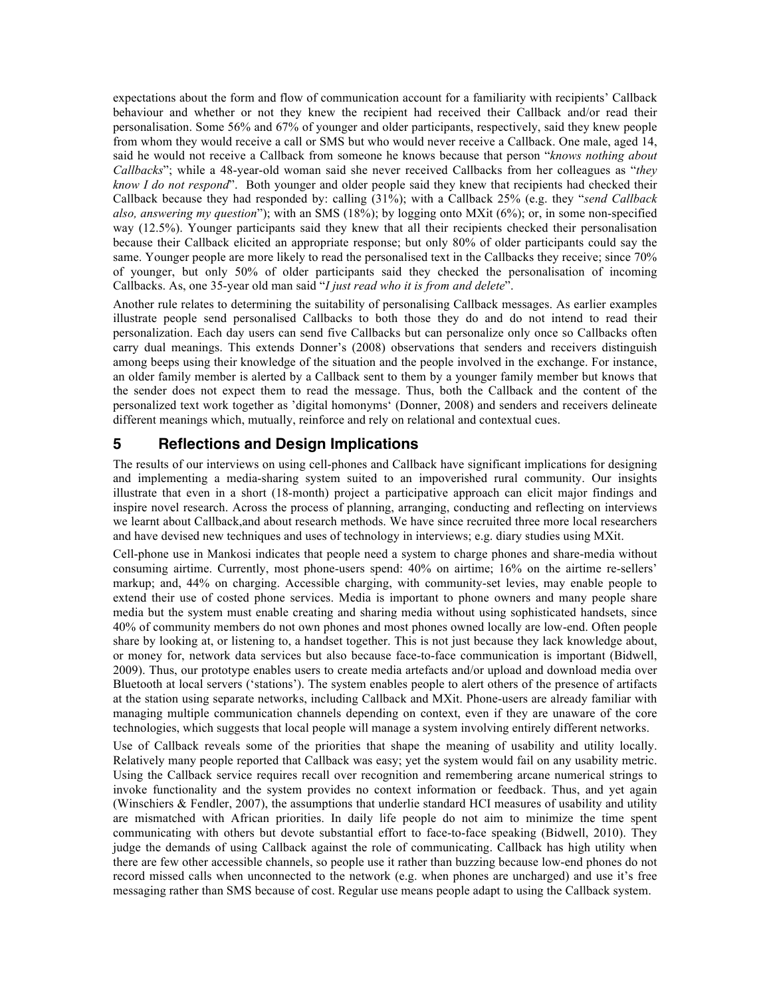expectations about the form and flow of communication account for a familiarity with recipients' Callback behaviour and whether or not they knew the recipient had received their Callback and/or read their personalisation. Some 56% and 67% of younger and older participants, respectively, said they knew people from whom they would receive a call or SMS but who would never receive a Callback. One male, aged 14, said he would not receive a Callback from someone he knows because that person "*knows nothing about Callbacks*"; while a 48-year-old woman said she never received Callbacks from her colleagues as "*they know I do not respond*". Both younger and older people said they knew that recipients had checked their Callback because they had responded by: calling (31%); with a Callback 25% (e.g. they "*send Callback also, answering my question*"); with an SMS (18%); by logging onto MXit (6%); or, in some non-specified way (12.5%). Younger participants said they knew that all their recipients checked their personalisation because their Callback elicited an appropriate response; but only 80% of older participants could say the same. Younger people are more likely to read the personalised text in the Callbacks they receive; since 70% of younger, but only 50% of older participants said they checked the personalisation of incoming Callbacks. As, one 35-year old man said "*I just read who it is from and delete*".

Another rule relates to determining the suitability of personalising Callback messages. As earlier examples illustrate people send personalised Callbacks to both those they do and do not intend to read their personalization. Each day users can send five Callbacks but can personalize only once so Callbacks often carry dual meanings. This extends Donner's (2008) observations that senders and receivers distinguish among beeps using their knowledge of the situation and the people involved in the exchange. For instance, an older family member is alerted by a Callback sent to them by a younger family member but knows that the sender does not expect them to read the message. Thus, both the Callback and the content of the personalized text work together as 'digital homonyms' (Donner, 2008) and senders and receivers delineate different meanings which, mutually, reinforce and rely on relational and contextual cues.

## **5 Reflections and Design Implications**

The results of our interviews on using cell-phones and Callback have significant implications for designing and implementing a media-sharing system suited to an impoverished rural community. Our insights illustrate that even in a short (18-month) project a participative approach can elicit major findings and inspire novel research. Across the process of planning, arranging, conducting and reflecting on interviews we learnt about Callback,and about research methods. We have since recruited three more local researchers and have devised new techniques and uses of technology in interviews; e.g. diary studies using MXit.

Cell-phone use in Mankosi indicates that people need a system to charge phones and share-media without consuming airtime. Currently, most phone-users spend: 40% on airtime; 16% on the airtime re-sellers' markup; and, 44% on charging. Accessible charging, with community-set levies, may enable people to extend their use of costed phone services. Media is important to phone owners and many people share media but the system must enable creating and sharing media without using sophisticated handsets, since 40% of community members do not own phones and most phones owned locally are low-end. Often people share by looking at, or listening to, a handset together. This is not just because they lack knowledge about, or money for, network data services but also because face-to-face communication is important (Bidwell, 2009). Thus, our prototype enables users to create media artefacts and/or upload and download media over Bluetooth at local servers ('stations'). The system enables people to alert others of the presence of artifacts at the station using separate networks, including Callback and MXit. Phone-users are already familiar with managing multiple communication channels depending on context, even if they are unaware of the core technologies, which suggests that local people will manage a system involving entirely different networks.

Use of Callback reveals some of the priorities that shape the meaning of usability and utility locally. Relatively many people reported that Callback was easy; yet the system would fail on any usability metric. Using the Callback service requires recall over recognition and remembering arcane numerical strings to invoke functionality and the system provides no context information or feedback. Thus, and yet again (Winschiers & Fendler, 2007), the assumptions that underlie standard HCI measures of usability and utility are mismatched with African priorities. In daily life people do not aim to minimize the time spent communicating with others but devote substantial effort to face-to-face speaking (Bidwell, 2010). They judge the demands of using Callback against the role of communicating. Callback has high utility when there are few other accessible channels, so people use it rather than buzzing because low-end phones do not record missed calls when unconnected to the network (e.g. when phones are uncharged) and use it's free messaging rather than SMS because of cost. Regular use means people adapt to using the Callback system.